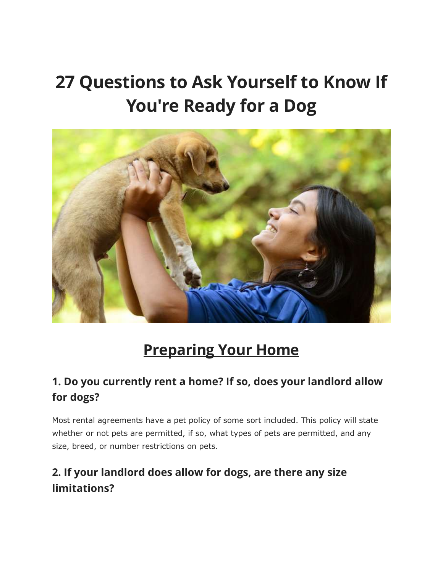# **27 Questions to Ask Yourself to Know If You're Ready for a Dog**



## **Preparing Your Home**

#### **1. Do you currently rent a home? If so, does your landlord allow for dogs?**

Most rental agreements have a pet policy of some sort included. This policy will state whether or not pets are permitted, if so, what types of pets are permitted, and any size, breed, or number restrictions on pets.

#### **2. If your landlord does allow for dogs, are there any size limitations?**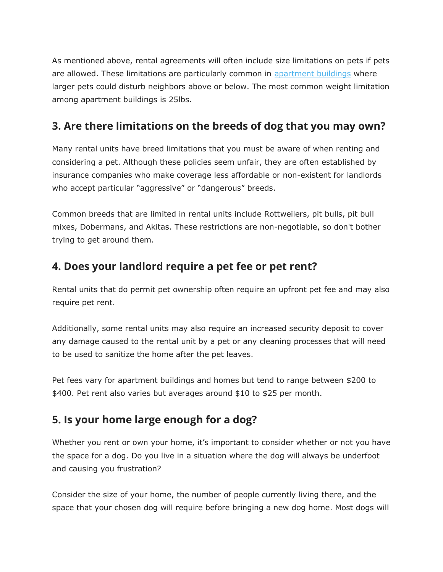As mentioned above, rental agreements will often include size limitations on pets if pets are allowed. These limitations are particularly common in [apartment buildings](https://topdogtips.com/best-dog-breeds-for-small-apartments/) where larger pets could disturb neighbors above or below. The most common weight limitation among apartment buildings is 25lbs.

#### **3. Are there limitations on the breeds of dog that you may own?**

Many rental units have breed limitations that you must be aware of when renting and considering a pet. Although these policies seem unfair, they are often established by insurance companies who make coverage less affordable or non-existent for landlords who accept particular "aggressive" or "dangerous" breeds.

Common breeds that are limited in rental units include Rottweilers, pit bulls, pit bull mixes, Dobermans, and Akitas. These restrictions are non-negotiable, so don't bother trying to get around them.

#### **4. Does your landlord require a pet fee or pet rent?**

Rental units that do permit pet ownership often require an upfront pet fee and may also require pet rent.

Additionally, some rental units may also require an increased security deposit to cover any damage caused to the rental unit by a pet or any cleaning processes that will need to be used to sanitize the home after the pet leaves.

Pet fees vary for apartment buildings and homes but tend to range between \$200 to \$400. Pet rent also varies but averages around \$10 to \$25 per month.

#### **5. Is your home large enough for a dog?**

Whether you rent or own your home, it's important to consider whether or not you have the space for a dog. Do you live in a situation where the dog will always be underfoot and causing you frustration?

Consider the size of your home, the number of people currently living there, and the space that your chosen dog will require before bringing a new dog home. Most dogs will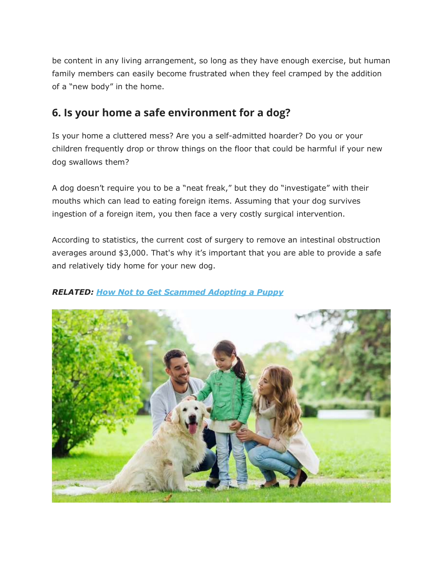be content in any living arrangement, so long as they have enough exercise, but human family members can easily become frustrated when they feel cramped by the addition of a "new body" in the home.

#### **6. Is your home a safe environment for a dog?**

Is your home a cluttered mess? Are you a self-admitted hoarder? Do you or your children frequently drop or throw things on the floor that could be harmful if your new dog swallows them?

A dog doesn't require you to be a "neat freak," but they do "investigate" with their mouths which can lead to eating foreign items. Assuming that your dog survives ingestion of a foreign item, you then face a very costly surgical intervention.

According to statistics, the current cost of surgery to remove an intestinal obstruction averages around \$3,000. That's why it's important that you are able to provide a safe and relatively tidy home for your new dog.

#### *RELATED: [How Not to Get Scammed Adopting a Puppy](https://topdogtips.com/scammed-adopting-a-puppy/)*

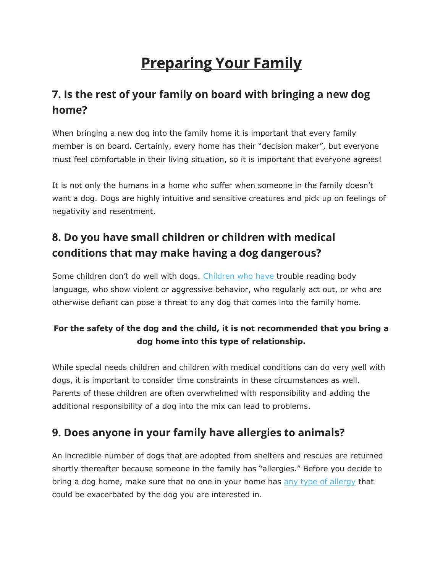## **Preparing Your Family**

#### **7. Is the rest of your family on board with bringing a new dog home?**

When bringing a new dog into the family home it is important that every family member is on board. Certainly, every home has their "decision maker", but everyone must feel comfortable in their living situation, so it is important that everyone agrees!

It is not only the humans in a home who suffer when someone in the family doesn't want a dog. Dogs are highly intuitive and sensitive creatures and pick up on feelings of negativity and resentment.

### **8. Do you have small children or children with medical conditions that may make having a dog dangerous?**

Some children don't do well with dogs. [Children who have](https://topdogtips.com/how-to-teach-kids-to-behave-around-dogs/) trouble reading body language, who show violent or aggressive behavior, who regularly act out, or who are otherwise defiant can pose a threat to any dog that comes into the family home.

#### **For the safety of the dog and the child, it is not recommended that you bring a dog home into this type of relationship.**

While special needs children and children with medical conditions can do very well with dogs, it is important to consider time constraints in these circumstances as well. Parents of these children are often overwhelmed with responsibility and adding the additional responsibility of a dog into the mix can lead to problems.

#### **9. Does anyone in your family have allergies to animals?**

An incredible number of dogs that are adopted from shelters and rescues are returned shortly thereafter because someone in the family has "allergies." Before you decide to bring a dog home, make sure that no one in your home has [any type of allergy](https://topdogtips.com/best-dogs-for-allergies-and-allergic-people/) that could be exacerbated by the dog you are interested in.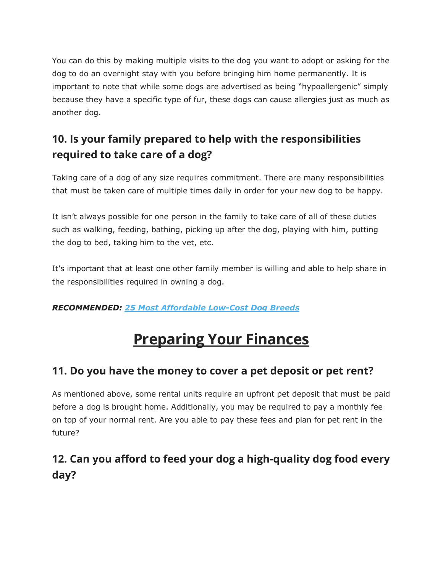You can do this by making multiple visits to the dog you want to adopt or asking for the dog to do an overnight stay with you before bringing him home permanently. It is important to note that while some dogs are advertised as being "hypoallergenic" simply because they have a specific type of fur, these dogs can cause allergies just as much as another dog.

## **10. Is your family prepared to help with the responsibilities required to take care of a dog?**

Taking care of a dog of any size requires commitment. There are many responsibilities that must be taken care of multiple times daily in order for your new dog to be happy.

It isn't always possible for one person in the family to take care of all of these duties such as walking, feeding, bathing, picking up after the dog, playing with him, putting the dog to bed, taking him to the vet, etc.

It's important that at least one other family member is willing and able to help share in the responsibilities required in owning a dog.

#### *RECOMMENDED: [25 Most Affordable Low-Cost Dog Breeds](https://topdogtips.com/low-cost-dog-breeds/)*

## **Preparing Your Finances**

#### **11. Do you have the money to cover a pet deposit or pet rent?**

As mentioned above, some rental units require an upfront pet deposit that must be paid before a dog is brought home. Additionally, you may be required to pay a monthly fee on top of your normal rent. Are you able to pay these fees and plan for pet rent in the future?

#### **12. Can you afford to feed your dog a high-quality dog food every day?**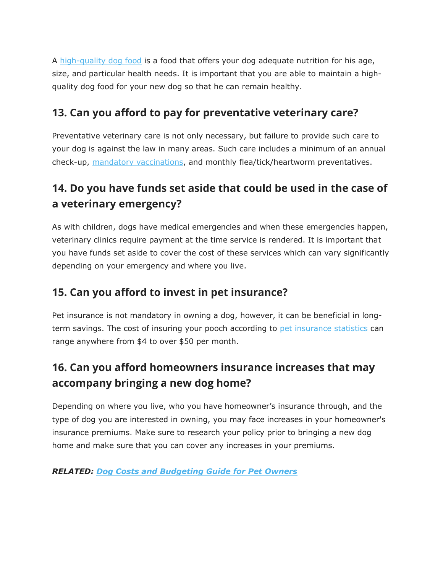A [high-quality dog food](https://topdogtips.com/top-dog-food-brands/) is a food that offers your dog adequate nutrition for his age, size, and particular health needs. It is important that you are able to maintain a highquality dog food for your new dog so that he can remain healthy.

#### **13. Can you afford to pay for preventative veterinary care?**

Preventative veterinary care is not only necessary, but failure to provide such care to your dog is against the law in many areas. Such care includes a minimum of an annual check-up, [mandatory vaccinations,](https://topdogtips.com/what-shots-do-puppies-need-dog-vaccination-schedule/) and monthly flea/tick/heartworm preventatives.

### **14. Do you have funds set aside that could be used in the case of a veterinary emergency?**

As with children, dogs have medical emergencies and when these emergencies happen, veterinary clinics require payment at the time service is rendered. It is important that you have funds set aside to cover the cost of these services which can vary significantly depending on your emergency and where you live.

#### **15. Can you afford to invest in pet insurance?**

Pet insurance is not mandatory in owning a dog, however, it can be beneficial in longterm savings. The cost of insuring your pooch according to [pet insurance statistics](https://topdogtips.com/pet-health-insurance-tips/) can range anywhere from \$4 to over \$50 per month.

#### **16. Can you afford homeowners insurance increases that may accompany bringing a new dog home?**

Depending on where you live, who you have homeowner's insurance through, and the type of dog you are interested in owning, you may face increases in your homeowner's insurance premiums. Make sure to research your policy prior to bringing a new dog home and make sure that you can cover any increases in your premiums.

#### *RELATED: [Dog Costs and Budgeting Guide for Pet Owners](https://topdogtips.com/how-much-does-a-dog-cost/)*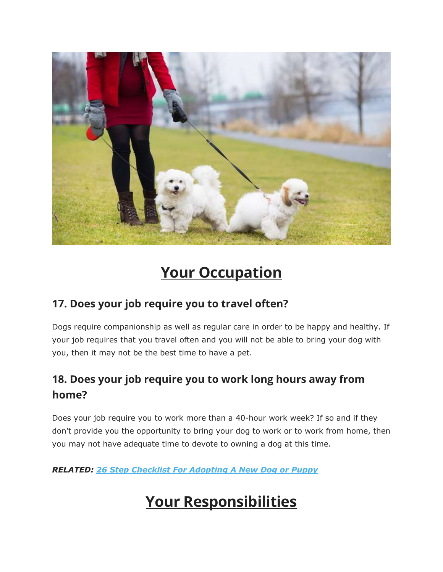

## **Your Occupation**

#### **17. Does your job require you to travel often?**

Dogs require companionship as well as regular care in order to be happy and healthy. If your job requires that you travel often and you will not be able to bring your dog with you, then it may not be the best time to have a pet.

### **18. Does your job require you to work long hours away from home?**

Does your job require you to work more than a 40-hour work week? If so and if they don't provide you the opportunity to bring your dog to work or to work from home, then you may not have adequate time to devote to owning a dog at this time.

*RELATED: [26 Step Checklist For Adopting A New Dog or Puppy](https://topdogtips.com/adopting-a-new-dog/)*

## **Your Responsibilities**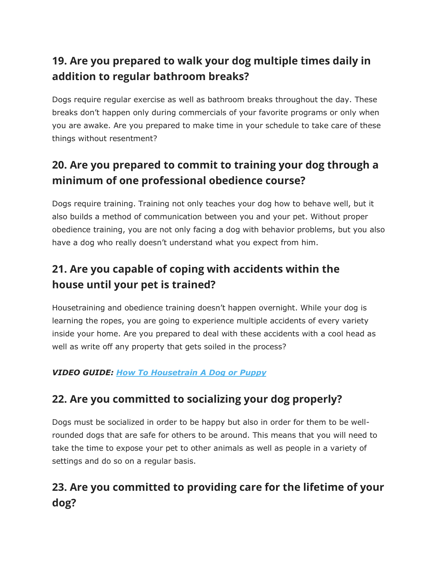### **19. Are you prepared to walk your dog multiple times daily in addition to regular bathroom breaks?**

Dogs require regular exercise as well as bathroom breaks throughout the day. These breaks don't happen only during commercials of your favorite programs or only when you are awake. Are you prepared to make time in your schedule to take care of these things without resentment?

### **20. Are you prepared to commit to training your dog through a minimum of one professional obedience course?**

Dogs require training. Training not only teaches your dog how to behave well, but it also builds a method of communication between you and your pet. Without proper obedience training, you are not only facing a dog with behavior problems, but you also have a dog who really doesn't understand what you expect from him.

### **21. Are you capable of coping with accidents within the house until your pet is trained?**

Housetraining and obedience training doesn't happen overnight. While your dog is learning the ropes, you are going to experience multiple accidents of every variety inside your home. Are you prepared to deal with these accidents with a cool head as well as write off any property that gets soiled in the process?

#### *VIDEO GUIDE: [How To Housetrain A](https://topdogtips.com/how-to-housetrain-an-adult-dog/) Dog or Puppy*

#### **22. Are you committed to socializing your dog properly?**

Dogs must be socialized in order to be happy but also in order for them to be wellrounded dogs that are safe for others to be around. This means that you will need to take the time to expose your pet to other animals as well as people in a variety of settings and do so on a regular basis.

### **23. Are you committed to providing care for the lifetime of your dog?**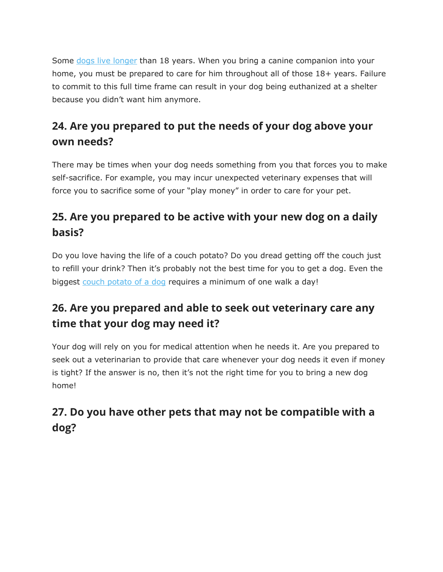Some [dogs live longer](https://topdogtips.com/how-long-do-dogs-live/) than 18 years. When you bring a canine companion into your home, you must be prepared to care for him throughout all of those 18+ years. Failure to commit to this full time frame can result in your dog being euthanized at a shelter because you didn't want him anymore.

### **24. Are you prepared to put the needs of your dog above your own needs?**

There may be times when your dog needs something from you that forces you to make self-sacrifice. For example, you may incur unexpected veterinary expenses that will force you to sacrifice some of your "play money" in order to care for your pet.

### **25. Are you prepared to be active with your new dog on a daily basis?**

Do you love having the life of a couch potato? Do you dread getting off the couch just to refill your drink? Then it's probably not the best time for you to get a dog. Even the biggest [couch potato of a dog](https://topdogtips.com/lazy-dog-breeds/) requires a minimum of one walk a day!

#### **26. Are you prepared and able to seek out veterinary care any time that your dog may need it?**

Your dog will rely on you for medical attention when he needs it. Are you prepared to seek out a veterinarian to provide that care whenever your dog needs it even if money is tight? If the answer is no, then it's not the right time for you to bring a new dog home!

#### **27. Do you have other pets that may not be compatible with a dog?**